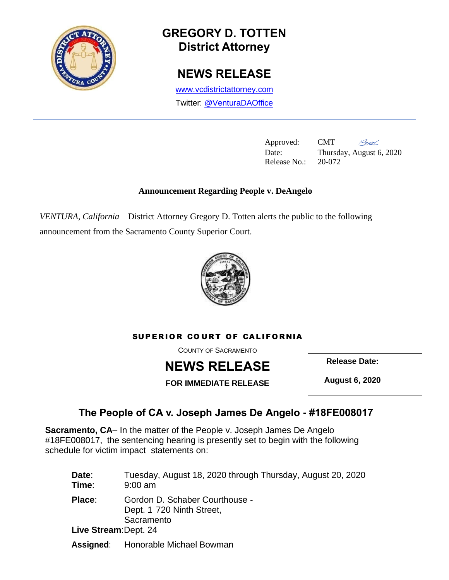

# **GREGORY D. TOTTEN District Attorney**

## **NEWS RELEASE**

[www.vcdistrictattorney.com](http://www.vcdistrictattorney.com/) Twitter: [@VenturaDAOffice](https://twitter.com/venturadaoffice)

> Approved: CMT Release No.: 20-072

ANS Date: Thursday, August 6, 2020

### **Announcement Regarding People v. DeAngelo**

*VENTURA, California* – District Attorney Gregory D. Totten alerts the public to the following announcement from the Sacramento County Superior Court.



#### SUPERIOR COURT OF CALIFORNIA

COUNTY OF SACRAMENTO



**Release Date:**

**FOR IMMEDIATE RELEASE**

**August 6, 2020**

### **The People of CA v. Joseph James De Angelo - #18FE008017**

**Sacramento, CA**– In the matter of the People v. Joseph James De Angelo #18FE008017, the sentencing hearing is presently set to begin with the following schedule for victim impact statements on:

| Date:<br>Time:                  | Tuesday, August 18, 2020 through Thursday, August 20, 2020<br>$9:00$ am   |
|---------------------------------|---------------------------------------------------------------------------|
| Place:<br>Live Stream: Dept. 24 | Gordon D. Schaber Courthouse -<br>Dept. 1 720 Ninth Street,<br>Sacramento |
| Assigned:                       | Honorable Michael Bowman                                                  |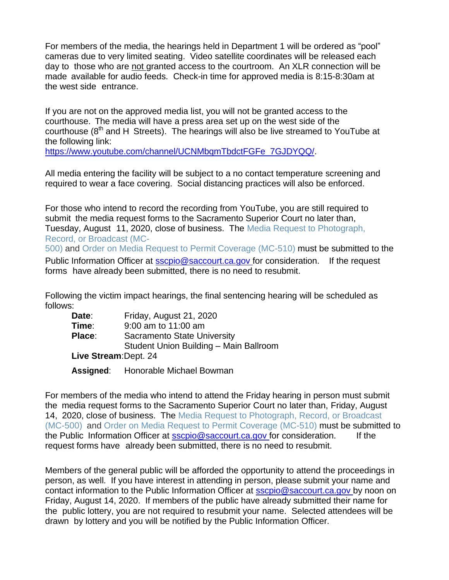For members of the media, the hearings held in Department 1 will be ordered as "pool" cameras due to very limited seating. Video satellite coordinates will be released each day to those who are not granted access to the courtroom. An XLR connection will be made available for audio feeds. Check-in time for approved media is 8:15-8:30am at the west side entrance.

If you are not on the approved media list, you will not be granted access to the courthouse. The media will have a press area set up on the west side of the courthouse  $(8<sup>th</sup>$  and H Streets). The hearings will also be live streamed to YouTube at the following link:

[https://www.youtube.com/channel/UCNMbqmTbdctFGFe\\_7GJDYQQ/.](https://www.youtube.com/channel/UCNMbqmTbdctFGFe_7GJDYQQ/)

All media entering the facility will be subject to a no contact temperature screening and required to wear a face covering. Social distancing practices will also be enforced.

For those who intend to record the recording from YouTube, you are still required to submit the media request forms to the Sacramento Superior Court no later than, Tuesday, August 11, 2020, close of business. The Media Request to [Photograph,](https://www.courts.ca.gov/mc500.pdf) Record, [or Broadcast](https://www.courts.ca.gov/mc500.pdf) (MC-

[500\)](https://www.courts.ca.gov/mc500.pdf) and Order on Media Request to Permit [Coverage](https://www.courts.ca.gov/mc510.pdf) (MC-510) must be submitted to the Public Information Officer at [sscpio@saccourt.ca.gov](mailto:sscpio@saccourt.ca.gov) for consideration. If the request forms have already been submitted, there is no need to resubmit.

Following the victim impact hearings, the final sentencing hearing will be scheduled as follows:

| Date:                 | Friday, August 21, 2020                |  |
|-----------------------|----------------------------------------|--|
| Time:                 | 9:00 am to 11:00 am                    |  |
| Place:                | <b>Sacramento State University</b>     |  |
|                       | Student Union Building - Main Ballroom |  |
| Live Stream: Dept. 24 |                                        |  |

**Assigned**: Honorable Michael Bowman

For members of the media who intend to attend the Friday hearing in person must submit the media request forms to the Sacramento Superior Court no later than, Friday, August 14, 2020, close of business. The Media Request [to Photograph,](https://www.courts.ca.gov/mc500.pdf) Record, or Broadcast [\(MC-500\)](https://www.courts.ca.gov/mc500.pdf) and Order on Media Request to Permit [Coverage](https://www.courts.ca.gov/mc510.pdf) (MC-510) must be submitted to the Public Information Officer at [sscpio@saccourt.ca.gov](mailto:sscpio@saccourt.ca.gov) for consideration. If the request forms have already been submitted, there is no need to resubmit.

Members of the general public will be afforded the opportunity to attend the proceedings in person, as well. If you have interest in attending in person, please submit your name and contact information to the Public Information Officer at [sscpio@saccourt.ca.gov](mailto:sscpio@saccourt.ca.gov) by noon on Friday, August 14, 2020. If members of the public have already submitted their name for the public lottery, you are not required to resubmit your name. Selected attendees will be drawn by lottery and you will be notified by the Public Information Officer.